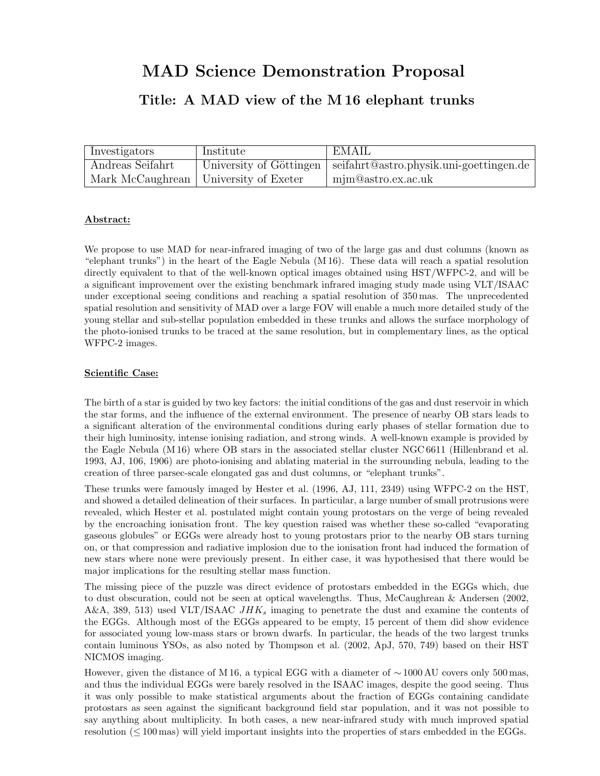# MAD Science Demonstration Proposal

## Title: A MAD view of the M 16 elephant trunks

| Investigators    | Institute                               | EMAIL                                                             |
|------------------|-----------------------------------------|-------------------------------------------------------------------|
| Andreas Seifahrt |                                         | University of Göttingen   seifahrt@astro.physik.uni-goettingen.de |
|                  | Mark McCaughrean   University of Exeter | $\mid$ mjm@astro.ex.ac.uk                                         |

### Abstract:

We propose to use MAD for near-infrared imaging of two of the large gas and dust columns (known as "elephant trunks") in the heart of the Eagle Nebula (M 16). These data will reach a spatial resolution directly equivalent to that of the well-known optical images obtained using HST/WFPC-2, and will be a significant improvement over the existing benchmark infrared imaging study made using VLT/ISAAC under exceptional seeing conditions and reaching a spatial resolution of 350 mas. The unprecedented spatial resolution and sensitivity of MAD over a large FOV will enable a much more detailed study of the young stellar and sub-stellar population embedded in these trunks and allows the surface morphology of the photo-ionised trunks to be traced at the same resolution, but in complementary lines, as the optical WFPC-2 images.

#### Scientific Case:

The birth of a star is guided by two key factors: the initial conditions of the gas and dust reservoir in which the star forms, and the influence of the external environment. The presence of nearby OB stars leads to a significant alteration of the environmental conditions during early phases of stellar formation due to their high luminosity, intense ionising radiation, and strong winds. A well-known example is provided by the Eagle Nebula (M 16) where OB stars in the associated stellar cluster NGC 6611 (Hillenbrand et al. 1993, AJ, 106, 1906) are photo-ionising and ablating material in the surrounding nebula, leading to the creation of three parsec-scale elongated gas and dust columns, or "elephant trunks".

These trunks were famously imaged by Hester et al. (1996, AJ, 111, 2349) using WFPC-2 on the HST, and showed a detailed delineation of their surfaces. In particular, a large number of small protrusions were revealed, which Hester et al. postulated might contain young protostars on the verge of being revealed by the encroaching ionisation front. The key question raised was whether these so-called "evaporating gaseous globules" or EGGs were already host to young protostars prior to the nearby OB stars turning on, or that compression and radiative implosion due to the ionisation front had induced the formation of new stars where none were previously present. In either case, it was hypothesised that there would be major implications for the resulting stellar mass function.

The missing piece of the puzzle was direct evidence of protostars embedded in the EGGs which, due to dust obscuration, could not be seen at optical wavelengths. Thus, McCaughrean & Andersen (2002, A&A, 389, 513) used VLT/ISAAC  $JHK_s$  imaging to penetrate the dust and examine the contents of the EGGs. Although most of the EGGs appeared to be empty, 15 percent of them did show evidence for associated young low-mass stars or brown dwarfs. In particular, the heads of the two largest trunks contain luminous YSOs, as also noted by Thompson et al. (2002, ApJ, 570, 749) based on their HST NICMOS imaging.

However, given the distance of M 16, a typical EGG with a diameter of ∼ 1000 AU covers only 500 mas, and thus the individual EGGs were barely resolved in the ISAAC images, despite the good seeing. Thus it was only possible to make statistical arguments about the fraction of EGGs containing candidate protostars as seen against the significant background field star population, and it was not possible to say anything about multiplicity. In both cases, a new near-infrared study with much improved spatial resolution  $(\leq 100 \,\text{mas})$  will yield important insights into the properties of stars embedded in the EGGs.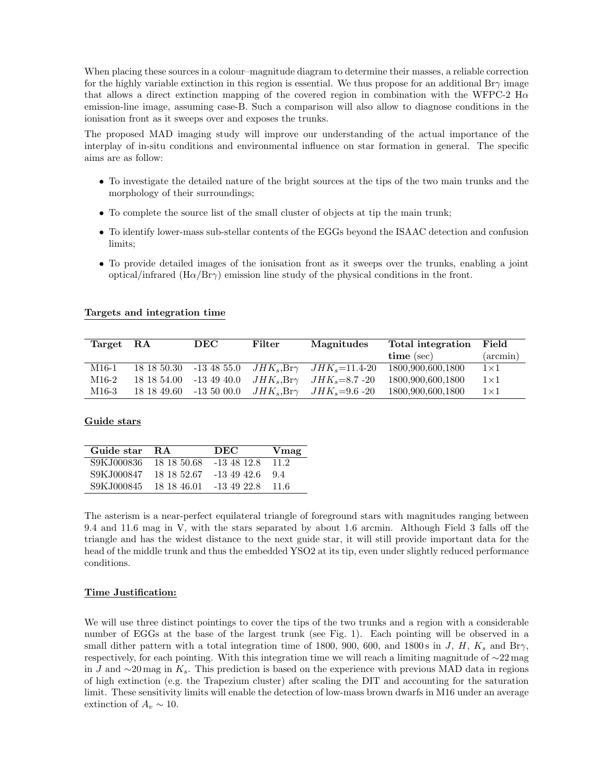When placing these sources in a colour–magnitude diagram to determine their masses, a reliable correction for the highly variable extinction in this region is essential. We thus propose for an additional Br $\gamma$  image that allows a direct extinction mapping of the covered region in combination with the WFPC-2  $H\alpha$ emission-line image, assuming case-B. Such a comparison will also allow to diagnose conditions in the ionisation front as it sweeps over and exposes the trunks.

The proposed MAD imaging study will improve our understanding of the actual importance of the interplay of in-situ conditions and environmental influence on star formation in general. The specific aims are as follow:

- To investigate the detailed nature of the bright sources at the tips of the two main trunks and the morphology of their surroundings;
- To complete the source list of the small cluster of objects at tip the main trunk;
- To identify lower-mass sub-stellar contents of the EGGs beyond the ISAAC detection and confusion limits;
- To provide detailed images of the ionisation front as it sweeps over the trunks, enabling a joint optical/infrared  $(H\alpha/Br\gamma)$  emission line study of the physical conditions in the front.

| Target RA | DEC | Filter | Magnitudes                                                    | Total integration Field                                                               |             |
|-----------|-----|--------|---------------------------------------------------------------|---------------------------------------------------------------------------------------|-------------|
|           |     |        |                                                               | time (sec)                                                                            | $(\arcsin)$ |
| M16-1     |     |        |                                                               | $18\,18\,50.30$ $-13\,48\,55.0$ $JHK_s, Br\gamma$ $JHK_s=11.4-20$ $1800.900.600.1800$ | $1\times1$  |
| M16-2     |     |        | $18\;18\;54.00$ -13 49 40.0 $JHK_s, Br\gamma$ $JHK_s=8.7$ -20 | 1800,900,600,1800                                                                     | $1\times1$  |
| M16-3     |     |        | $18\;18\;49.60$ -13 50 00.0 $JHK_s, Br\gamma$ $JHK_s=9.6$ -20 | 1800,900,600,1800                                                                     | $1\times1$  |

#### Guide stars

| Guide star  | - R A                   | <b>DEC</b>  | Vmag |
|-------------|-------------------------|-------------|------|
| S9K.J000836 | 18 18 50.68             | $-1348128$  | 11.2 |
| S9KJ000847  | 18 18 52 67             | -13 49 42.6 | 9.4  |
| S9KJ000845  | 18 18 46.01 -13 49 22.8 |             | 11.6 |

The asterism is a near-perfect equilateral triangle of foreground stars with magnitudes ranging between 9.4 and 11.6 mag in V, with the stars separated by about 1.6 arcmin. Although Field 3 falls off the triangle and has the widest distance to the next guide star, it will still provide important data for the head of the middle trunk and thus the embedded YSO2 at its tip, even under slightly reduced performance conditions.

#### Time Justification:

We will use three distinct pointings to cover the tips of the two trunks and a region with a considerable number of EGGs at the base of the largest trunk (see Fig. 1). Each pointing will be observed in a small dither pattern with a total integration time of 1800, 900, 600, and 1800s in J, H,  $K_s$  and Br $\gamma$ , respectively, for each pointing. With this integration time we will reach a limiting magnitude of ∼22 mag in J and  $\sim$ 20 mag in K<sub>s</sub>. This prediction is based on the experience with previous MAD data in regions of high extinction (e.g. the Trapezium cluster) after scaling the DIT and accounting for the saturation limit. These sensitivity limits will enable the detection of low-mass brown dwarfs in M16 under an average extinction of  $A_v \sim 10$ .